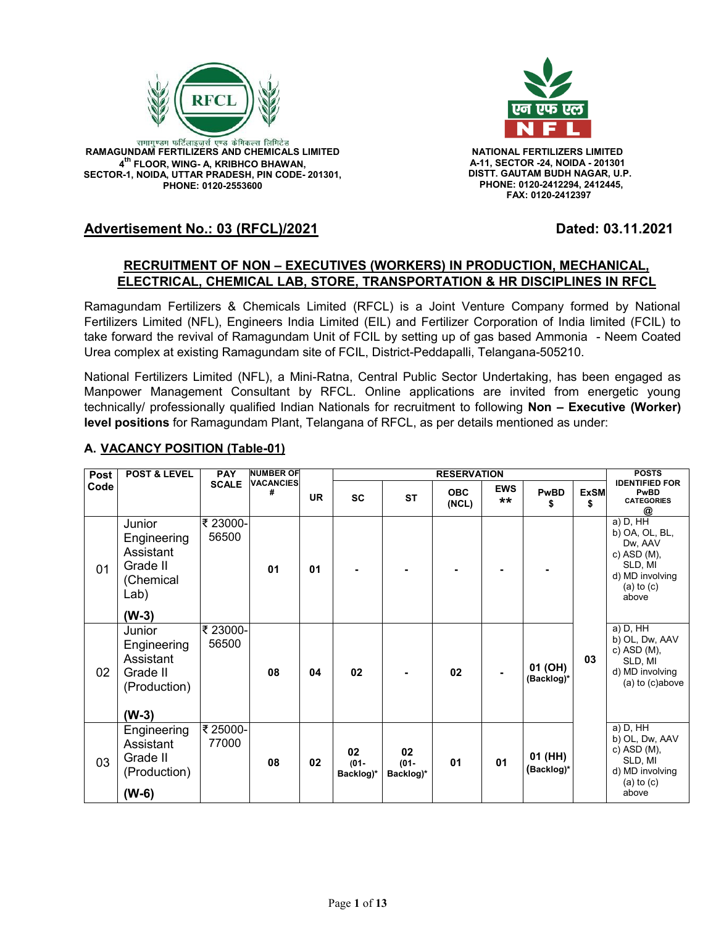

.<br>रामागुण्डम फर्टिलाइजर्स एण्ड केमिकल्स लिमिटेड **RAMAGUNDAM FERTILIZERS AND CHEMICALS LIMITED NATIONAL FERTILIZERS LIMITED 4 th FLOOR, WING- A, KRIBHCO BHAWAN, SECTOR-1, NOIDA, UTTAR PRADESH, PIN CODE- 201301, PHONE: 0120-2553600**



 **A-11, SECTOR -24, NOIDA - 201301 DISTT. GAUTAM BUDH NAGAR, U.P. PHONE: 0120-2412294, 2412445, FAX: 0120-2412397**

# **Advertisement No.: 03 (RFCL)/2021 Dated: 03.11.2021**

## **RECRUITMENT OF NON – EXECUTIVES (WORKERS) IN PRODUCTION, MECHANICAL, ELECTRICAL, CHEMICAL LAB, STORE, TRANSPORTATION & HR DISCIPLINES IN RFCL**

Ramagundam Fertilizers & Chemicals Limited (RFCL) is a Joint Venture Company formed by National Fertilizers Limited (NFL), Engineers India Limited (EIL) and Fertilizer Corporation of India limited (FCIL) to take forward the revival of Ramagundam Unit of FCIL by setting up of gas based Ammonia - Neem Coated Urea complex at existing Ramagundam site of FCIL, District-Peddapalli, Telangana-505210.

National Fertilizers Limited (NFL), a Mini-Ratna, Central Public Sector Undertaking, has been engaged as Manpower Management Consultant by RFCL. Online applications are invited from energetic young technically/ professionally qualified Indian Nationals for recruitment to following **Non – Executive (Worker) level positions** for Ramagundam Plant, Telangana of RFCL, as per details mentioned as under:

| Post | <b>POST &amp; LEVEL</b>                                                        | <b>PAY</b>        | <b>NUMBER OF</b>      |           |                            |                            | <b>RESERVATION</b>  |                     |                       |                  | <b>POSTS</b>                                                                                                    |
|------|--------------------------------------------------------------------------------|-------------------|-----------------------|-----------|----------------------------|----------------------------|---------------------|---------------------|-----------------------|------------------|-----------------------------------------------------------------------------------------------------------------|
| Code |                                                                                | <b>SCALE</b>      | <b>VACANCIES</b><br># | <b>UR</b> | <b>SC</b>                  | <b>ST</b>                  | <b>OBC</b><br>(NCL) | <b>EWS</b><br>$***$ | <b>PwBD</b><br>S      | <b>ExSM</b><br>S | <b>IDENTIFIED FOR</b><br><b>PwBD</b><br><b>CATEGORIES</b><br>@                                                  |
| 01   | Junior<br>Engineering<br>Assistant<br>Grade II<br>(Chemical<br>Lab)<br>$(W-3)$ | ₹ 23000-<br>56500 | 01                    | 01        |                            |                            |                     |                     |                       |                  | $a)$ D, HH<br>b) OA, OL, BL,<br>Dw, AAV<br>c) ASD (M),<br>SLD, MI<br>d) MD involving<br>$(a)$ to $(c)$<br>above |
| 02   | Junior<br>Engineering<br>Assistant<br>Grade II<br>(Production)<br>$(W-3)$      | ₹ 23000-<br>56500 | 08                    | 04        | 02                         |                            | 02                  |                     | 01 (OH)<br>(Backlog)* | 03               | a) D, $H\overline{H}$<br>b) OL, Dw, AAV<br>c) ASD (M),<br>SLD, MI<br>d) MD involving<br>(a) to (c)above         |
| 03   | Engineering<br>Assistant<br>Grade II<br>(Production)<br>$(W-6)$                | ₹25000-<br>77000  | 08                    | 02        | 02<br>$(01 -$<br>Backlog)* | 02<br>$(01 -$<br>Backlog)* | 01                  | 01                  | 01 (HH)<br>(Backlog)* |                  | a) D, HH<br>b) OL, Dw, AAV<br>$c)$ ASD (M),<br>SLD, MI<br>d) MD involving<br>$(a)$ to $(c)$<br>above            |

# **A. VACANCY POSITION (Table-01)**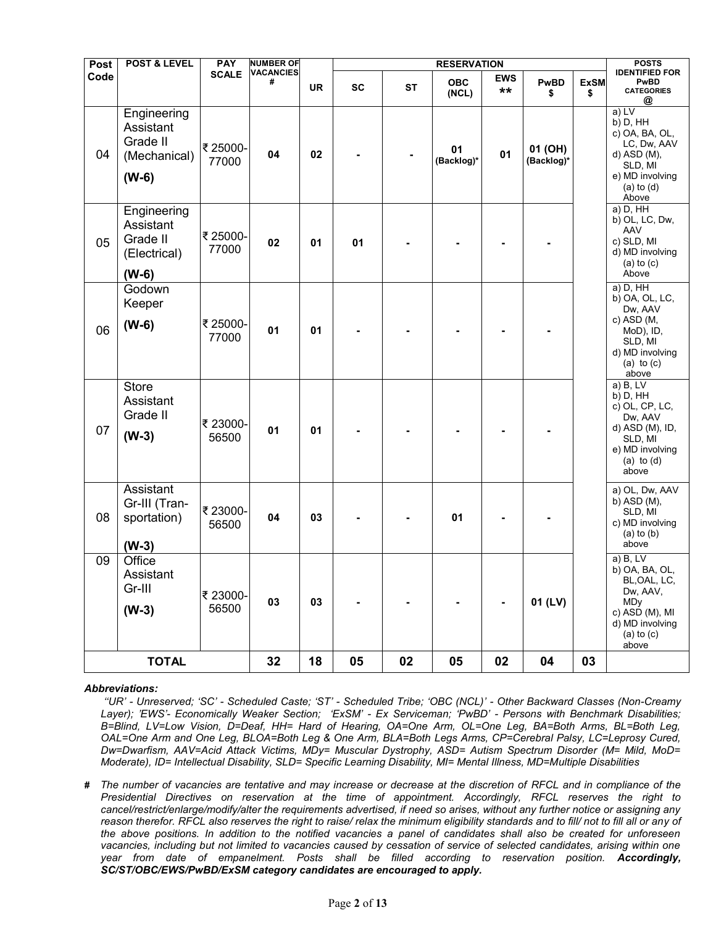| Post | <b>POST &amp; LEVEL</b>                                         | <b>PAY</b>        | <b>NUMBER OF</b>      |           |           |           | <b>RESERVATION</b>  |                  |                       |                   | <b>POSTS</b>                                                                                                                         |
|------|-----------------------------------------------------------------|-------------------|-----------------------|-----------|-----------|-----------|---------------------|------------------|-----------------------|-------------------|--------------------------------------------------------------------------------------------------------------------------------------|
| Code |                                                                 | <b>SCALE</b>      | <b>VACANCIES</b><br># | <b>UR</b> | <b>SC</b> | <b>ST</b> | <b>OBC</b><br>(NCL) | <b>EWS</b><br>** | PwBD<br>\$            | <b>ExSM</b><br>\$ | <b>IDENTIFIED FOR</b><br><b>PwBD</b><br><b>CATEGORIES</b><br>@                                                                       |
| 04   | Engineering<br>Assistant<br>Grade II<br>(Mechanical)<br>$(W-6)$ | ₹25000-<br>77000  | 04                    | 02        |           |           | 01<br>(Backlog)*    | 01               | 01 (OH)<br>(Backlog)* |                   | a) LV<br>b) D, HH<br>c) OA, BA, OL,<br>LC, Dw, AAV<br>d) ASD (M),<br>SLD, MI<br>e) MD involving<br>$(a)$ to $(d)$<br>Above           |
| 05   | Engineering<br>Assistant<br>Grade II<br>(Electrical)<br>$(W-6)$ | ₹25000-<br>77000  | 02                    | 01        | 01        |           |                     |                  |                       |                   | a) D, HH<br>b) OL, LC, Dw,<br>AAV<br>c) SLD, MI<br>d) MD involving<br>$(a)$ to $(c)$<br>Above                                        |
| 06   | Godown<br>Keeper<br>$(W-6)$                                     | ₹25000-<br>77000  | 01                    | 01        |           |           |                     |                  |                       |                   | a) D, HH<br>b) OA, OL, LC,<br>Dw, AAV<br>c) $ASD(M,$<br>MoD), ID,<br>SLD, MI<br>d) MD involving<br>(a) to $(c)$<br>above             |
| 07   | <b>Store</b><br>Assistant<br>Grade II<br>$(W-3)$                | ₹ 23000-<br>56500 | 01                    | 01        |           |           |                     |                  |                       |                   | $a)$ B, LV<br>$b)$ D, $HH$<br>c) OL, CP, LC,<br>Dw, AAV<br>d) ASD (M), ID,<br>SLD, MI<br>e) MD involving<br>(a) to $(d)$<br>above    |
| 08   | Assistant<br>Gr-III (Tran-<br>sportation)<br>$(W-3)$            | ₹23000-<br>56500  | 04                    | 03        |           |           | 01                  |                  |                       |                   | a) OL, Dw, AAV<br>b) ASD (M),<br>SLD, MI<br>c) MD involving<br>$(a)$ to $(b)$<br>above                                               |
| 09   | Office<br>Assistant<br>Gr-III<br>$(W-3)$                        | ₹ 23000-<br>56500 | 03                    | 03        |           |           |                     | $\blacksquare$   | 01 (LV)               |                   | a) B, LV<br>b) OA, BA, OL,<br>BL, OAL, LC,<br>Dw, AAV,<br><b>MDy</b><br>c) ASD (M), MI<br>d) MD involving<br>$(a)$ to $(c)$<br>above |
|      | <b>TOTAL</b>                                                    |                   | 32                    | 18        | 05        | 02        | 05                  | 02               | 04                    | 03                |                                                                                                                                      |

#### *Abbreviations:*

*''UR' - Unreserved; 'SC' - Scheduled Caste; 'ST' - Scheduled Tribe; 'OBC (NCL)' - Other Backward Classes (Non-Creamy Layer); 'EWS'- Economically Weaker Section; 'ExSM' - Ex Serviceman; 'PwBD' - Persons with Benchmark Disabilities; B=Blind, LV=Low Vision, D=Deaf, HH= Hard of Hearing, OA=One Arm, OL=One Leg, BA=Both Arms, BL=Both Leg, OAL=One Arm and One Leg, BLOA=Both Leg & One Arm, BLA=Both Legs Arms, CP=Cerebral Palsy, LC=Leprosy Cured, Dw=Dwarfism, AAV=Acid Attack Victims, MDy= Muscular Dystrophy, ASD= Autism Spectrum Disorder (M= Mild, MoD= Moderate), ID= Intellectual Disability, SLD= Specific Learning Disability, MI= Mental Illness, MD=Multiple Disabilities*

*# The number of vacancies are tentative and may increase or decrease at the discretion of RFCL and in compliance of the Presidential Directives on reservation at the time of appointment. Accordingly, RFCL reserves the right to cancel/restrict/enlarge/modify/alter the requirements advertised, if need so arises, without any further notice or assigning any* reason therefor. RFCL also reserves the right to raise/ relax the minimum eligibility standards and to fill/ not to fill all or any of *the above positions. In addition to the notified vacancies a panel of candidates shall also be created for unforeseen vacancies, including but not limited to vacancies caused by cessation of service of selected candidates, arising within one year from date of empanelment. Posts shall be filled according to reservation position. Accordingly, SC/ST/OBC/EWS/PwBD/ExSM category candidates are encouraged to apply.*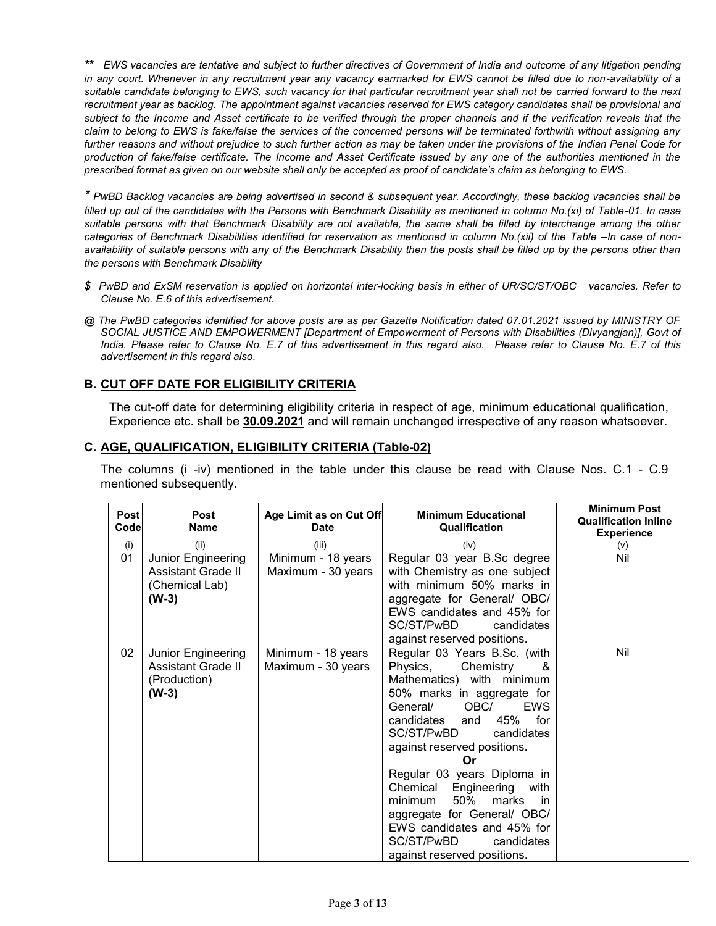*\*\* EWS vacancies are tentative and subject to further directives of Government of India and outcome of any litigation pending in any court. Whenever in any recruitment year any vacancy earmarked for EWS cannot be filled due to non-availability of a suitable candidate belonging to EWS, such vacancy for that particular recruitment year shall not be carried forward to the next recruitment year as backlog. The appointment against vacancies reserved for EWS category candidates shall be provisional and subject to the Income and Asset certificate to be verified through the proper channels and if the verification reveals that the claim to belong to EWS is fake/false the services of the concerned persons will be terminated forthwith without assigning any further reasons and without prejudice to such further action as may be taken under the provisions of the Indian Penal Code for production of fake/false certificate. The Income and Asset Certificate issued by any one of the authorities mentioned in the prescribed format as given on our website shall only be accepted as proof of candidate's claim as belonging to EWS.*

*\* PwBD Backlog vacancies are being advertised in second & subsequent year. Accordingly, these backlog vacancies shall be filled up out of the candidates with the Persons with Benchmark Disability as mentioned in column No.(xi) of Table-01. In case suitable persons with that Benchmark Disability are not available, the same shall be filled by interchange among the other categories of Benchmark Disabilities identified for reservation as mentioned in column No.(xii) of the Table - In case of nonavailability of suitable persons with any of the Benchmark Disability then the posts shall be filled up by the persons other than the persons with Benchmark Disability*

- *\$ PwBD and ExSM reservation is applied on horizontal inter-locking basis in either of UR/SC/ST/OBC vacancies. Refer to Clause No. E.6 of this advertisement.*
- *@ The PwBD categories identified for above posts are as per Gazette Notification dated 07.01.2021 issued by MINISTRY OF SOCIAL JUSTICE AND EMPOWERMENT [Department of Empowerment of Persons with Disabilities (Divyangjan)], Govt of India. Please refer to Clause No. E.7 of this advertisement in this regard also. Please refer to Clause No. E.7 of this advertisement in this regard also.*

## **B. CUT OFF DATE FOR ELIGIBILITY CRITERIA**

The cut-off date for determining eligibility criteria in respect of age, minimum educational qualification, Experience etc. shall be **30.09.2021** and will remain unchanged irrespective of any reason whatsoever.

### **C. AGE, QUALIFICATION, ELIGIBILITY CRITERIA (Table-02)**

The columns (i -iv) mentioned in the table under this clause be read with Clause Nos. C.1 - C.9 mentioned subsequently.

| Post<br>Code | <b>Post</b><br><b>Name</b>                                                   | Age Limit as on Cut Off<br>Date          | <b>Minimum Educational</b><br>Qualification                                                                                                                                                                                                                                                                                                                                                                                                                                         | <b>Minimum Post</b><br><b>Qualification Inline</b><br><b>Experience</b> |
|--------------|------------------------------------------------------------------------------|------------------------------------------|-------------------------------------------------------------------------------------------------------------------------------------------------------------------------------------------------------------------------------------------------------------------------------------------------------------------------------------------------------------------------------------------------------------------------------------------------------------------------------------|-------------------------------------------------------------------------|
| (i)          | (ii)                                                                         | (iii)                                    | (iv)                                                                                                                                                                                                                                                                                                                                                                                                                                                                                | (v)                                                                     |
| 01           | Junior Engineering<br><b>Assistant Grade II</b><br>(Chemical Lab)<br>$(W-3)$ | Minimum - 18 years<br>Maximum - 30 years | Regular 03 year B.Sc degree<br>with Chemistry as one subject<br>with minimum 50% marks in<br>aggregate for General/ OBC/<br>EWS candidates and 45% for<br>SC/ST/PwBD<br>candidates<br>against reserved positions.                                                                                                                                                                                                                                                                   | Nil                                                                     |
| 02           | Junior Engineering<br><b>Assistant Grade II</b><br>(Production)<br>$(W-3)$   | Minimum - 18 years<br>Maximum - 30 years | Regular 03 Years B.Sc. (with<br>Chemistry<br>Physics,<br>&<br>Mathematics) with minimum<br>50% marks in aggregate for<br>General/<br>OBC/<br><b>EWS</b><br>candidates<br>45%<br>for<br>and<br>SC/ST/PwBD<br>candidates<br>against reserved positions.<br>Or<br>Regular 03 years Diploma in<br>Chemical Engineering<br>with<br>50%<br>minimum<br>marks<br>in<br>aggregate for General/ OBC/<br>EWS candidates and 45% for<br>SC/ST/PwBD<br>candidates<br>against reserved positions. | Nil                                                                     |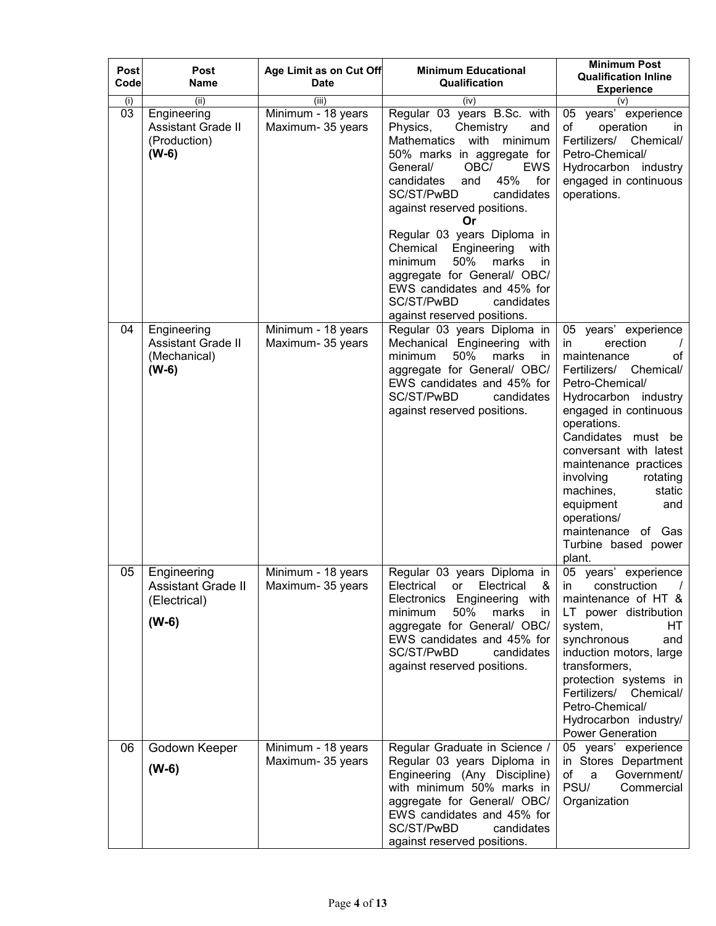| Post<br>Codel | Post<br>Name                                                        | Age Limit as on Cut Off<br><b>Date</b>  | <b>Minimum Educational</b><br>Qualification                                                                                                                                                                                                                                                                                                                                                                                                                                                         | <b>Minimum Post</b><br><b>Qualification Inline</b><br><b>Experience</b>                                                                                                                                                                                                                                                                                                                     |
|---------------|---------------------------------------------------------------------|-----------------------------------------|-----------------------------------------------------------------------------------------------------------------------------------------------------------------------------------------------------------------------------------------------------------------------------------------------------------------------------------------------------------------------------------------------------------------------------------------------------------------------------------------------------|---------------------------------------------------------------------------------------------------------------------------------------------------------------------------------------------------------------------------------------------------------------------------------------------------------------------------------------------------------------------------------------------|
| (i)           | (ii)                                                                | (iii)                                   | (iv)                                                                                                                                                                                                                                                                                                                                                                                                                                                                                                | (v)                                                                                                                                                                                                                                                                                                                                                                                         |
| 03            | Engineering<br><b>Assistant Grade II</b><br>(Production)<br>$(W-6)$ | Minimum - 18 years<br>Maximum- 35 years | Regular 03 years B.Sc. with<br>Chemistry<br>Physics,<br>and<br><b>Mathematics</b><br>with<br>minimum<br>50% marks in aggregate for<br>OBC/<br><b>EWS</b><br>General/<br>45%<br>candidates<br>for<br>and<br>SC/ST/PwBD<br>candidates<br>against reserved positions.<br>Or<br>Regular 03 years Diploma in<br>Chemical<br>Engineering<br>with<br>marks<br>minimum<br>50%<br>in<br>aggregate for General/ OBC/<br>EWS candidates and 45% for<br>SC/ST/PwBD<br>candidates<br>against reserved positions. | 05 years' experience<br>operation<br>of<br>in.<br>Fertilizers/<br>Chemical/<br>Petro-Chemical/<br>Hydrocarbon industry<br>engaged in continuous<br>operations.                                                                                                                                                                                                                              |
| 04            | Engineering<br><b>Assistant Grade II</b><br>(Mechanical)<br>$(W-6)$ | Minimum - 18 years<br>Maximum- 35 years | Regular 03 years Diploma in<br>Mechanical Engineering with<br>50%<br>minimum<br>marks<br>in<br>aggregate for General/ OBC/<br>EWS candidates and 45% for<br>SC/ST/PwBD<br>candidates<br>against reserved positions.                                                                                                                                                                                                                                                                                 | 05 years' experience<br>erection<br>in<br>maintenance<br>οf<br>Fertilizers/ Chemical/<br>Petro-Chemical/<br>Hydrocarbon industry<br>engaged in continuous<br>operations.<br>Candidates must be<br>conversant with latest<br>maintenance practices<br>involving<br>rotating<br>machines,<br>static<br>equipment<br>and<br>operations/<br>maintenance of Gas<br>Turbine based power<br>plant. |
| 05            | Engineering<br><b>Assistant Grade II</b><br>(Electrical)<br>$(W-6)$ | Minimum - 18 years<br>Maximum- 35 years | Regular 03 years Diploma in<br>Electrical<br>Electrical<br>&<br>or<br>Electronics Engineering with<br>minimum<br>50%<br>marks<br>in.<br>aggregate for General/ OBC/<br>EWS candidates and 45% for<br>SC/ST/PwBD<br>candidates<br>against reserved positions.                                                                                                                                                                                                                                        | 05 years' experience<br>construction<br>in<br>maintenance of HT &<br>LT power distribution<br>system,<br>HТ<br>synchronous<br>and<br>induction motors, large<br>transformers,<br>protection systems in<br>Fertilizers/ Chemical/<br>Petro-Chemical/<br>Hydrocarbon industry/<br><b>Power Generation</b>                                                                                     |
| 06            | Godown Keeper<br>$(W-6)$                                            | Minimum - 18 years<br>Maximum- 35 years | Regular Graduate in Science /<br>Regular 03 years Diploma in<br>Engineering (Any Discipline)<br>with minimum 50% marks in<br>aggregate for General/ OBC/<br>EWS candidates and 45% for<br>SC/ST/PwBD<br>candidates<br>against reserved positions.                                                                                                                                                                                                                                                   | 05 years' experience<br>in Stores Department<br>of<br>Government/<br>a<br>PSU/<br>Commercial<br>Organization                                                                                                                                                                                                                                                                                |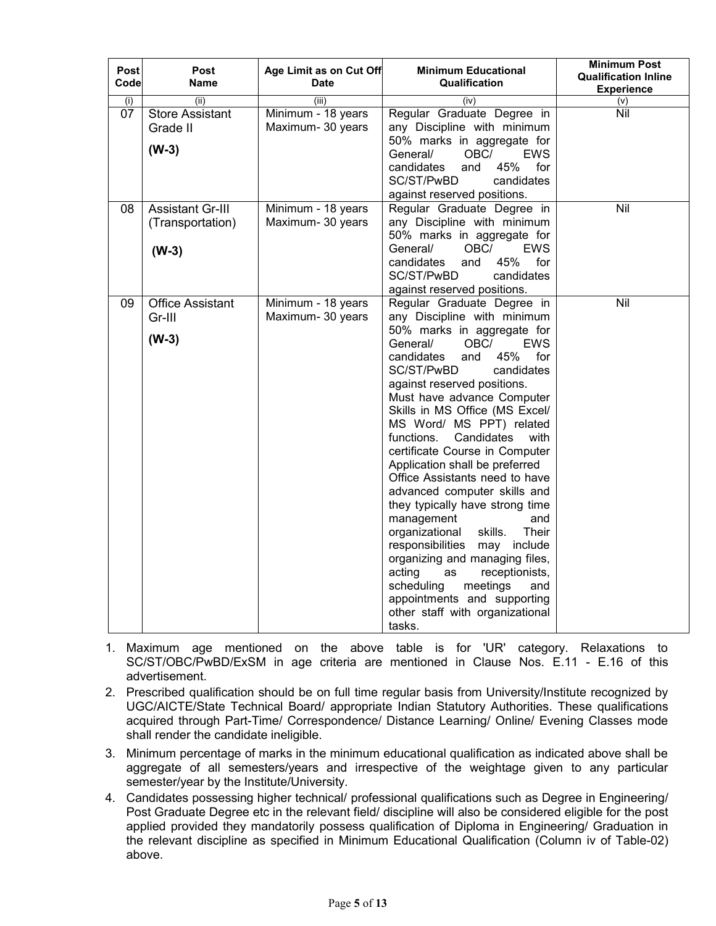| <b>Post</b><br>Code | Post<br><b>Name</b>     | Age Limit as on Cut Off<br><b>Date</b> | <b>Minimum Educational</b><br>Qualification                       | <b>Minimum Post</b><br><b>Qualification Inline</b><br><b>Experience</b> |
|---------------------|-------------------------|----------------------------------------|-------------------------------------------------------------------|-------------------------------------------------------------------------|
| (i)                 | (ii)                    | (iii)                                  | (iv)                                                              | (v)                                                                     |
| 07                  | <b>Store Assistant</b>  | Minimum - 18 years                     | Regular Graduate Degree in                                        | Nil                                                                     |
|                     | Grade II                | Maximum- 30 years                      | any Discipline with minimum                                       |                                                                         |
|                     | $(W-3)$                 |                                        | 50% marks in aggregate for                                        |                                                                         |
|                     |                         |                                        | <b>EWS</b><br>General/<br>OBC/                                    |                                                                         |
|                     |                         |                                        | candidates<br>45%<br>for<br>and                                   |                                                                         |
|                     |                         |                                        | SC/ST/PwBD<br>candidates                                          |                                                                         |
|                     |                         |                                        | against reserved positions.                                       |                                                                         |
| 08                  | <b>Assistant Gr-III</b> | Minimum - 18 years                     | Regular Graduate Degree in                                        | Nil                                                                     |
|                     | (Transportation)        | Maximum- 30 years                      | any Discipline with minimum                                       |                                                                         |
|                     |                         |                                        | 50% marks in aggregate for                                        |                                                                         |
|                     | $(W-3)$                 |                                        | General/<br>OBC/<br><b>EWS</b><br>45%<br>candidates<br>for<br>and |                                                                         |
|                     |                         |                                        | SC/ST/PwBD<br>candidates                                          |                                                                         |
|                     |                         |                                        | against reserved positions.                                       |                                                                         |
| 09                  | <b>Office Assistant</b> | Minimum - 18 years                     | Regular Graduate Degree in                                        | Nil                                                                     |
|                     | Gr-III                  | Maximum- 30 years                      | any Discipline with minimum                                       |                                                                         |
|                     |                         |                                        | 50% marks in aggregate for                                        |                                                                         |
|                     | $(W-3)$                 |                                        | General/<br>OBC/<br>EWS                                           |                                                                         |
|                     |                         |                                        | candidates<br>45%<br>for<br>and                                   |                                                                         |
|                     |                         |                                        | SC/ST/PwBD<br>candidates                                          |                                                                         |
|                     |                         |                                        | against reserved positions.                                       |                                                                         |
|                     |                         |                                        | Must have advance Computer                                        |                                                                         |
|                     |                         |                                        | Skills in MS Office (MS Excel/                                    |                                                                         |
|                     |                         |                                        | MS Word/ MS PPT) related                                          |                                                                         |
|                     |                         |                                        | Candidates<br>functions.<br>with                                  |                                                                         |
|                     |                         |                                        | certificate Course in Computer                                    |                                                                         |
|                     |                         |                                        | Application shall be preferred                                    |                                                                         |
|                     |                         |                                        | Office Assistants need to have<br>advanced computer skills and    |                                                                         |
|                     |                         |                                        | they typically have strong time                                   |                                                                         |
|                     |                         |                                        | management<br>and                                                 |                                                                         |
|                     |                         |                                        | organizational<br>skills.<br>Their                                |                                                                         |
|                     |                         |                                        | responsibilities<br>may<br>include                                |                                                                         |
|                     |                         |                                        | organizing and managing files,                                    |                                                                         |
|                     |                         |                                        | acting<br>receptionists,<br>as                                    |                                                                         |
|                     |                         |                                        | scheduling<br>meetings<br>and                                     |                                                                         |
|                     |                         |                                        | appointments and supporting                                       |                                                                         |
|                     |                         |                                        | other staff with organizational                                   |                                                                         |
|                     |                         |                                        | tasks.                                                            |                                                                         |

- 1. Maximum age mentioned on the above table is for 'UR' category. Relaxations to SC/ST/OBC/PwBD/ExSM in age criteria are mentioned in Clause Nos. E.11 - E.16 of this advertisement.
- 2. Prescribed qualification should be on full time regular basis from University/Institute recognized by UGC/AICTE/State Technical Board/ appropriate Indian Statutory Authorities. These qualifications acquired through Part-Time/ Correspondence/ Distance Learning/ Online/ Evening Classes mode shall render the candidate ineligible.
- 3. Minimum percentage of marks in the minimum educational qualification as indicated above shall be aggregate of all semesters/years and irrespective of the weightage given to any particular semester/year by the Institute/University.
- 4. Candidates possessing higher technical/ professional qualifications such as Degree in Engineering/ Post Graduate Degree etc in the relevant field/ discipline will also be considered eligible for the post applied provided they mandatorily possess qualification of Diploma in Engineering/ Graduation in the relevant discipline as specified in Minimum Educational Qualification (Column iv of Table-02) above.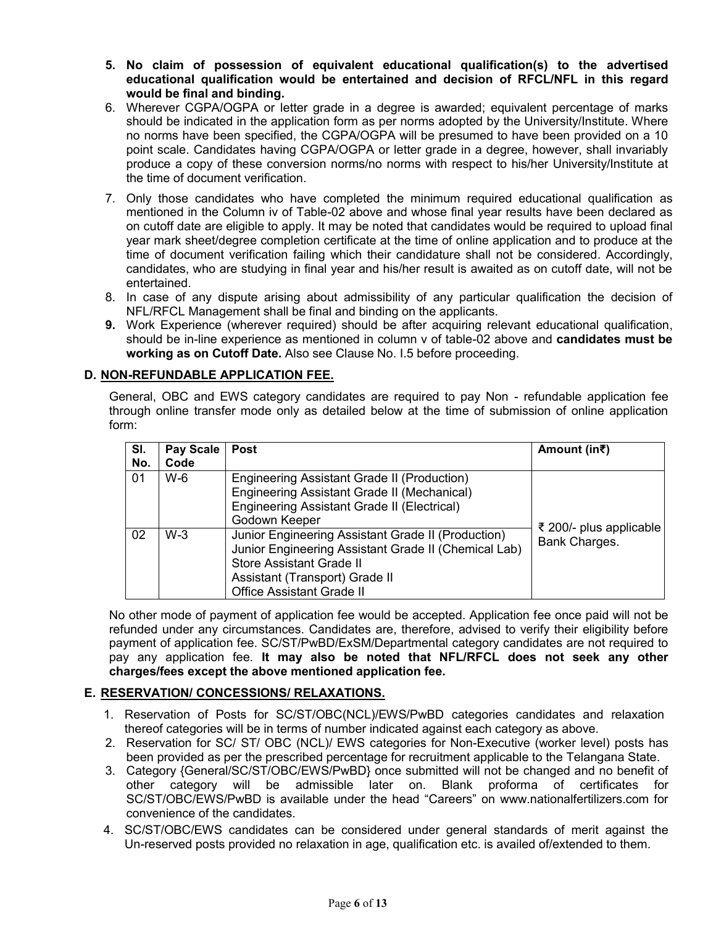- **5. No claim of possession of equivalent educational qualification(s) to the advertised educational qualification would be entertained and decision of RFCL/NFL in this regard would be final and binding.**
- 6. Wherever CGPA/OGPA or letter grade in a degree is awarded; equivalent percentage of marks should be indicated in the application form as per norms adopted by the University/Institute. Where no norms have been specified, the CGPA/OGPA will be presumed to have been provided on a 10 point scale. Candidates having CGPA/OGPA or letter grade in a degree, however, shall invariably produce a copy of these conversion norms/no norms with respect to his/her University/Institute at the time of document verification.
- 7. Only those candidates who have completed the minimum required educational qualification as mentioned in the Column iv of Table-02 above and whose final year results have been declared as on cutoff date are eligible to apply. It may be noted that candidates would be required to upload final year mark sheet/degree completion certificate at the time of online application and to produce at the time of document verification failing which their candidature shall not be considered. Accordingly, candidates, who are studying in final year and his/her result is awaited as on cutoff date, will not be entertained.
- 8. In case of any dispute arising about admissibility of any particular qualification the decision of NFL/RFCL Management shall be final and binding on the applicants.
- **9.** Work Experience (wherever required) should be after acquiring relevant educational qualification, should be in-line experience as mentioned in column v of table-02 above and **candidates must be working as on Cutoff Date.** Also see Clause No. I.5 before proceeding.

## **D. NON-REFUNDABLE APPLICATION FEE.**

General, OBC and EWS category candidates are required to pay Non - refundable application fee through online transfer mode only as detailed below at the time of submission of online application form:

| SI.<br>No. | Pay Scale<br>Code | <b>Post</b>                                                                                                                                                                                                  | Amount (in₹)                             |
|------------|-------------------|--------------------------------------------------------------------------------------------------------------------------------------------------------------------------------------------------------------|------------------------------------------|
| 01         | W-6               | Engineering Assistant Grade II (Production)<br>Engineering Assistant Grade II (Mechanical)<br>Engineering Assistant Grade II (Electrical)<br>Godown Keeper                                                   |                                          |
| 02         | $W-3$             | Junior Engineering Assistant Grade II (Production)<br>Junior Engineering Assistant Grade II (Chemical Lab)<br>Store Assistant Grade II<br>Assistant (Transport) Grade II<br><b>Office Assistant Grade II</b> | ₹ 200/- plus applicable<br>Bank Charges. |

No other mode of payment of application fee would be accepted. Application fee once paid will not be refunded under any circumstances. Candidates are, therefore, advised to verify their eligibility before payment of application fee. SC/ST/PwBD/ExSM/Departmental category candidates are not required to pay any application fee. **It may also be noted that NFL/RFCL does not seek any other charges/fees except the above mentioned application fee.**

### **E. RESERVATION/ CONCESSIONS/ RELAXATIONS.**

- 1. Reservation of Posts for SC/ST/OBC(NCL)/EWS/PwBD categories candidates and relaxation thereof categories will be in terms of number indicated against each category as above.
- 2. Reservation for SC/ ST/ OBC (NCL)/ EWS categories for Non-Executive (worker level) posts has been provided as per the prescribed percentage for recruitment applicable to the Telangana State.
- 3. Category {General/SC/ST/OBC/EWS/PwBD} once submitted will not be changed and no benefit of other category will be admissible later on. Blank proforma of certificates for SC/ST/OBC/EWS/PwBD is available under the head "Careers" on www.nationalfertilizers.com for convenience of the candidates.
- 4. SC/ST/OBC/EWS candidates can be considered under general standards of merit against the Un-reserved posts provided no relaxation in age, qualification etc. is availed of/extended to them.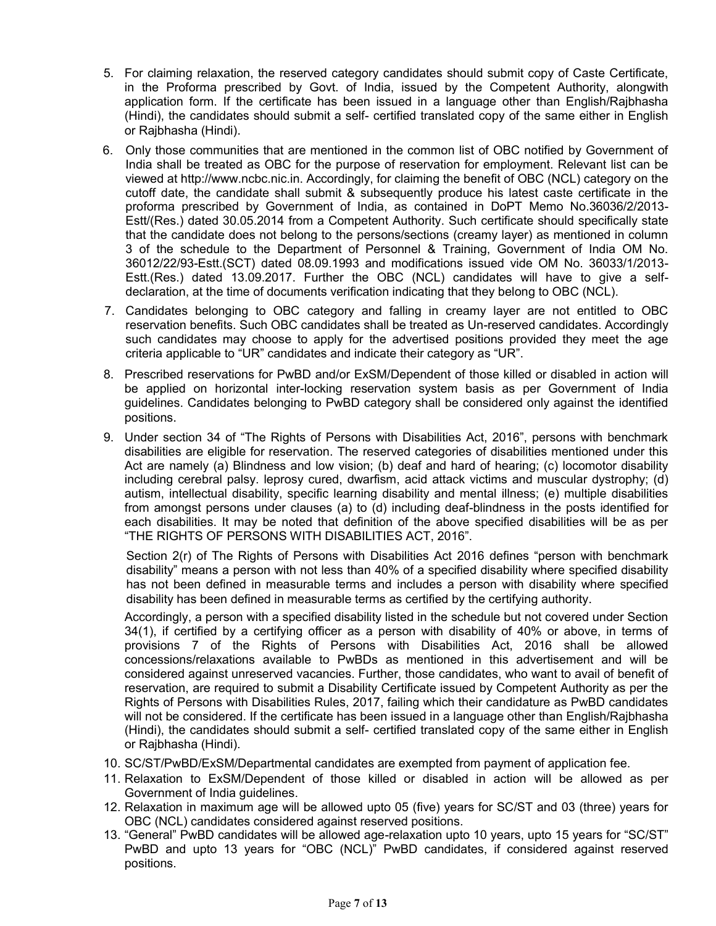- 5. For claiming relaxation, the reserved category candidates should submit copy of Caste Certificate, in the Proforma prescribed by Govt. of India, issued by the Competent Authority, alongwith application form. If the certificate has been issued in a language other than English/Rajbhasha (Hindi), the candidates should submit a self- certified translated copy of the same either in English or Rajbhasha (Hindi).
- 6. Only those communities that are mentioned in the common list of OBC notified by Government of India shall be treated as OBC for the purpose of reservation for employment. Relevant list can be viewed at http://www.ncbc.nic.in. Accordingly, for claiming the benefit of OBC (NCL) category on the cutoff date, the candidate shall submit & subsequently produce his latest caste certificate in the proforma prescribed by Government of India, as contained in DoPT Memo No.36036/2/2013- Estt/(Res.) dated 30.05.2014 from a Competent Authority. Such certificate should specifically state that the candidate does not belong to the persons/sections (creamy layer) as mentioned in column 3 of the schedule to the Department of Personnel & Training, Government of India OM No. 36012/22/93-Estt.(SCT) dated 08.09.1993 and modifications issued vide OM No. 36033/1/2013- Estt.(Res.) dated 13.09.2017. Further the OBC (NCL) candidates will have to give a selfdeclaration, at the time of documents verification indicating that they belong to OBC (NCL).
- 7. Candidates belonging to OBC category and falling in creamy layer are not entitled to OBC reservation benefits. Such OBC candidates shall be treated as Un-reserved candidates. Accordingly such candidates may choose to apply for the advertised positions provided they meet the age criteria applicable to "UR" candidates and indicate their category as "UR".
- 8. Prescribed reservations for PwBD and/or ExSM/Dependent of those killed or disabled in action will be applied on horizontal inter-locking reservation system basis as per Government of India guidelines. Candidates belonging to PwBD category shall be considered only against the identified positions.
- 9. Under section 34 of "The Rights of Persons with Disabilities Act, 2016", persons with benchmark disabilities are eligible for reservation. The reserved categories of disabilities mentioned under this Act are namely (a) Blindness and low vision; (b) deaf and hard of hearing; (c) locomotor disability including cerebral palsy. leprosy cured, dwarfism, acid attack victims and muscular dystrophy; (d) autism, intellectual disability, specific learning disability and mental illness; (e) multiple disabilities from amongst persons under clauses (a) to (d) including deaf-blindness in the posts identified for each disabilities. It may be noted that definition of the above specified disabilities will be as per "THE RIGHTS OF PERSONS WITH DISABILITIES ACT, 2016".

Section 2(r) of The Rights of Persons with Disabilities Act 2016 defines "person with benchmark disability" means a person with not less than 40% of a specified disability where specified disability has not been defined in measurable terms and includes a person with disability where specified disability has been defined in measurable terms as certified by the certifying authority.

Accordingly, a person with a specified disability listed in the schedule but not covered under Section 34(1), if certified by a certifying officer as a person with disability of 40% or above, in terms of provisions 7 of the Rights of Persons with Disabilities Act, 2016 shall be allowed concessions/relaxations available to PwBDs as mentioned in this advertisement and will be considered against unreserved vacancies. Further, those candidates, who want to avail of benefit of reservation, are required to submit a Disability Certificate issued by Competent Authority as per the Rights of Persons with Disabilities Rules, 2017, failing which their candidature as PwBD candidates will not be considered. If the certificate has been issued in a language other than English/Rajbhasha (Hindi), the candidates should submit a self- certified translated copy of the same either in English or Rajbhasha (Hindi).

- 10. SC/ST/PwBD/ExSM/Departmental candidates are exempted from payment of application fee.
- 11. Relaxation to ExSM/Dependent of those killed or disabled in action will be allowed as per Government of India guidelines.
- 12. Relaxation in maximum age will be allowed upto 05 (five) years for SC/ST and 03 (three) years for OBC (NCL) candidates considered against reserved positions.
- 13. "General" PwBD candidates will be allowed age-relaxation upto 10 years, upto 15 years for "SC/ST" PwBD and upto 13 years for "OBC (NCL)" PwBD candidates, if considered against reserved positions.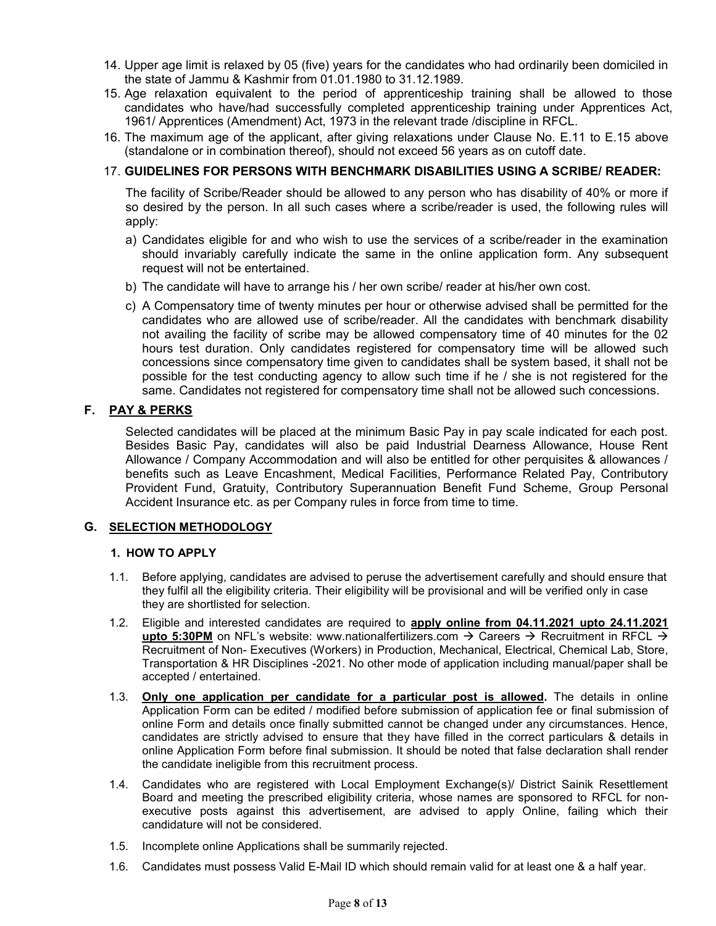- 14. Upper age limit is relaxed by 05 (five) years for the candidates who had ordinarily been domiciled in the state of Jammu & Kashmir from 01.01.1980 to 31.12.1989.
- 15. Age relaxation equivalent to the period of apprenticeship training shall be allowed to those candidates who have/had successfully completed apprenticeship training under Apprentices Act, 1961/ Apprentices (Amendment) Act, 1973 in the relevant trade /discipline in RFCL.
- 16. The maximum age of the applicant, after giving relaxations under Clause No. E.11 to E.15 above (standalone or in combination thereof), should not exceed 56 years as on cutoff date.

### 17. **GUIDELINES FOR PERSONS WITH BENCHMARK DISABILITIES USING A SCRIBE/ READER:**

The facility of Scribe/Reader should be allowed to any person who has disability of 40% or more if so desired by the person. In all such cases where a scribe/reader is used, the following rules will apply:

- a) Candidates eligible for and who wish to use the services of a scribe/reader in the examination should invariably carefully indicate the same in the online application form. Any subsequent request will not be entertained.
- b) The candidate will have to arrange his / her own scribe/ reader at his/her own cost.
- c) A Compensatory time of twenty minutes per hour or otherwise advised shall be permitted for the candidates who are allowed use of scribe/reader. All the candidates with benchmark disability not availing the facility of scribe may be allowed compensatory time of 40 minutes for the 02 hours test duration. Only candidates registered for compensatory time will be allowed such concessions since compensatory time given to candidates shall be system based, it shall not be possible for the test conducting agency to allow such time if he / she is not registered for the same. Candidates not registered for compensatory time shall not be allowed such concessions.

## **F. PAY & PERKS**

Selected candidates will be placed at the minimum Basic Pay in pay scale indicated for each post. Besides Basic Pay, candidates will also be paid Industrial Dearness Allowance, House Rent Allowance / Company Accommodation and will also be entitled for other perquisites & allowances / benefits such as Leave Encashment, Medical Facilities, Performance Related Pay, Contributory Provident Fund, Gratuity, Contributory Superannuation Benefit Fund Scheme, Group Personal Accident Insurance etc. as per Company rules in force from time to time.

### **G. SELECTION METHODOLOGY**

### **1. HOW TO APPLY**

- 1.1. Before applying, candidates are advised to peruse the advertisement carefully and should ensure that they fulfil all the eligibility criteria. Their eligibility will be provisional and will be verified only in case they are shortlisted for selection.
- 1.2. Eligible and interested candidates are required to **apply online from 04.11.2021 upto 24.11.2021** upto 5:30PM on NFL's website: www.nationalfertilizers.com  $\rightarrow$  Careers  $\rightarrow$  Recruitment in RFCL  $\rightarrow$ Recruitment of Non- Executives (Workers) in Production, Mechanical, Electrical, Chemical Lab, Store, Transportation & HR Disciplines -2021. No other mode of application including manual/paper shall be accepted / entertained.
- 1.3. **Only one application per candidate for a particular post is allowed.** The details in online Application Form can be edited / modified before submission of application fee or final submission of online Form and details once finally submitted cannot be changed under any circumstances. Hence, candidates are strictly advised to ensure that they have filled in the correct particulars & details in online Application Form before final submission. It should be noted that false declaration shall render the candidate ineligible from this recruitment process.
- 1.4. Candidates who are registered with Local Employment Exchange(s)/ District Sainik Resettlement Board and meeting the prescribed eligibility criteria, whose names are sponsored to RFCL for nonexecutive posts against this advertisement, are advised to apply Online, failing which their candidature will not be considered.
- 1.5. Incomplete online Applications shall be summarily rejected.
- 1.6. Candidates must possess Valid E-Mail ID which should remain valid for at least one & a half year.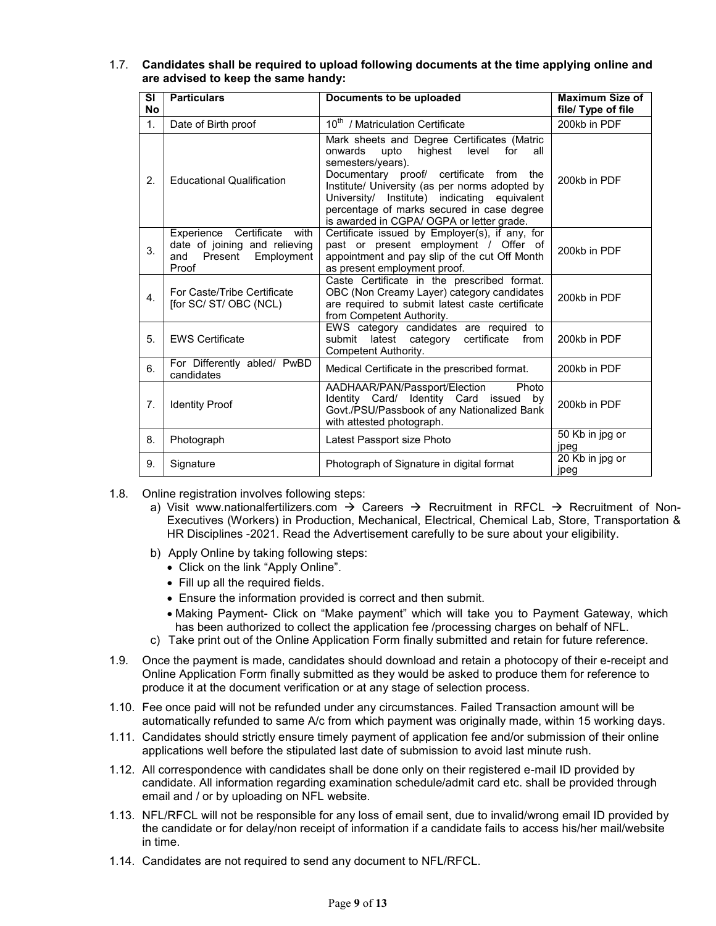| 1.7. Candidates shall be required to upload following documents at the time applying online and |
|-------------------------------------------------------------------------------------------------|
| are advised to keep the same handy:                                                             |

| <b>SI</b><br><b>No</b> | <b>Particulars</b>                                                                                    | Documents to be uploaded                                                                                                                                                                                                                                                                                                                                | <b>Maximum Size of</b><br>file/ Type of file |
|------------------------|-------------------------------------------------------------------------------------------------------|---------------------------------------------------------------------------------------------------------------------------------------------------------------------------------------------------------------------------------------------------------------------------------------------------------------------------------------------------------|----------------------------------------------|
| 1 <sub>1</sub>         | Date of Birth proof                                                                                   | 10 <sup>th</sup> / Matriculation Certificate                                                                                                                                                                                                                                                                                                            | 200kb in PDF                                 |
| 2.                     | <b>Educational Qualification</b>                                                                      | Mark sheets and Degree Certificates (Matric<br>highest level for<br>upto<br>onwards<br>all<br>semesters/years).<br>Documentary proof/ certificate from the<br>Institute/ University (as per norms adopted by<br>University/ Institute) indicating equivalent<br>percentage of marks secured in case degree<br>is awarded in CGPA/ OGPA or letter grade. | 200kb in PDF                                 |
| 3.                     | Experience Certificate with<br>date of joining and relieving<br>Present<br>Employment<br>and<br>Proof | Certificate issued by Employer(s), if any, for<br>past or present employment / Offer of<br>appointment and pay slip of the cut Off Month<br>as present employment proof.                                                                                                                                                                                | 200kb in PDF                                 |
| $\mathbf{4}$ .         | For Caste/Tribe Certificate<br>[for SC/ ST/ OBC (NCL)                                                 | Caste Certificate in the prescribed format.<br>OBC (Non Creamy Layer) category candidates<br>are required to submit latest caste certificate<br>from Competent Authority.                                                                                                                                                                               | 200kb in PDF                                 |
| 5.                     | <b>EWS Certificate</b>                                                                                | EWS category candidates are required to<br>latest category<br>certificate<br>submit<br>from<br>Competent Authority.                                                                                                                                                                                                                                     | 200kb in PDF                                 |
| 6.                     | For Differently abled/ PwBD<br>candidates                                                             | Medical Certificate in the prescribed format.                                                                                                                                                                                                                                                                                                           | 200kb in PDF                                 |
| 7 <sub>1</sub>         | <b>Identity Proof</b>                                                                                 | AADHAAR/PAN/Passport/Election<br>Photo<br>Identity Card/ Identity Card issued<br>by<br>Govt./PSU/Passbook of any Nationalized Bank<br>with attested photograph.                                                                                                                                                                                         | 200kb in PDF                                 |
| 8.                     | Photograph                                                                                            | Latest Passport size Photo                                                                                                                                                                                                                                                                                                                              | 50 Kb in jpg or<br>jpeg                      |
| 9.                     | Signature                                                                                             | Photograph of Signature in digital format                                                                                                                                                                                                                                                                                                               | 20 Kb in jpg or<br>jpeg                      |

- 1.8. Online registration involves following steps:
	- a) Visit www.nationalfertilizers.com  $\rightarrow$  Careers  $\rightarrow$  Recruitment in RFCL  $\rightarrow$  Recruitment of Non-Executives (Workers) in Production, Mechanical, Electrical, Chemical Lab, Store, Transportation & HR Disciplines -2021. Read the Advertisement carefully to be sure about your eligibility.
	- b) Apply Online by taking following steps:
		- Click on the link "Apply Online".
		- Fill up all the required fields.
		- Ensure the information provided is correct and then submit.
		- Making Payment- Click on "Make payment" which will take you to Payment Gateway, which has been authorized to collect the application fee /processing charges on behalf of NFL.
	- c) Take print out of the Online Application Form finally submitted and retain for future reference.
- 1.9. Once the payment is made, candidates should download and retain a photocopy of their e-receipt and Online Application Form finally submitted as they would be asked to produce them for reference to produce it at the document verification or at any stage of selection process.
- 1.10. Fee once paid will not be refunded under any circumstances. Failed Transaction amount will be automatically refunded to same A/c from which payment was originally made, within 15 working days.
- 1.11. Candidates should strictly ensure timely payment of application fee and/or submission of their online applications well before the stipulated last date of submission to avoid last minute rush.
- 1.12. All correspondence with candidates shall be done only on their registered e-mail ID provided by candidate. All information regarding examination schedule/admit card etc. shall be provided through email and / or by uploading on NFL website.
- 1.13. NFL/RFCL will not be responsible for any loss of email sent, due to invalid/wrong email ID provided by the candidate or for delay/non receipt of information if a candidate fails to access his/her mail/website in time.
- 1.14. Candidates are not required to send any document to NFL/RFCL.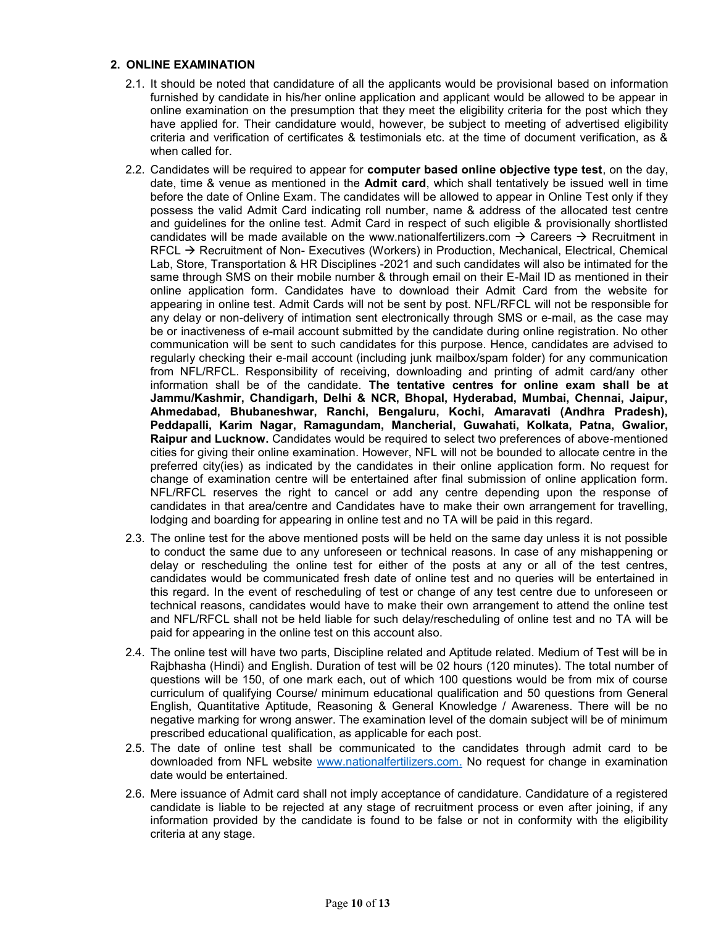#### **2. ONLINE EXAMINATION**

- 2.1. It should be noted that candidature of all the applicants would be provisional based on information furnished by candidate in his/her online application and applicant would be allowed to be appear in online examination on the presumption that they meet the eligibility criteria for the post which they have applied for. Their candidature would, however, be subject to meeting of advertised eligibility criteria and verification of certificates & testimonials etc. at the time of document verification, as & when called for.
- 2.2. Candidates will be required to appear for **computer based online objective type test**, on the day, date, time & venue as mentioned in the **Admit card**, which shall tentatively be issued well in time before the date of Online Exam. The candidates will be allowed to appear in Online Test only if they possess the valid Admit Card indicating roll number, name & address of the allocated test centre and guidelines for the online test. Admit Card in respect of such eligible & provisionally shortlisted candidates will be made available on the www.nationalfertilizers.com  $\rightarrow$  Careers  $\rightarrow$  Recruitment in  $RFCL \rightarrow Recruitment$  of Non-Executives (Workers) in Production, Mechanical, Electrical, Chemical Lab, Store, Transportation & HR Disciplines -2021 and such candidates will also be intimated for the same through SMS on their mobile number & through email on their E-Mail ID as mentioned in their online application form. Candidates have to download their Admit Card from the website for appearing in online test. Admit Cards will not be sent by post. NFL/RFCL will not be responsible for any delay or non-delivery of intimation sent electronically through SMS or e-mail, as the case may be or inactiveness of e-mail account submitted by the candidate during online registration. No other communication will be sent to such candidates for this purpose. Hence, candidates are advised to regularly checking their e-mail account (including junk mailbox/spam folder) for any communication from NFL/RFCL. Responsibility of receiving, downloading and printing of admit card/any other information shall be of the candidate. **The tentative centres for online exam shall be at Jammu/Kashmir, Chandigarh, Delhi & NCR, Bhopal, Hyderabad, Mumbai, Chennai, Jaipur, Ahmedabad, Bhubaneshwar, Ranchi, Bengaluru, Kochi, Amaravati (Andhra Pradesh), Peddapalli, Karim Nagar, Ramagundam, Mancherial, Guwahati, Kolkata, Patna, Gwalior, Raipur and Lucknow.** Candidates would be required to select two preferences of above-mentioned cities for giving their online examination. However, NFL will not be bounded to allocate centre in the preferred city(ies) as indicated by the candidates in their online application form. No request for change of examination centre will be entertained after final submission of online application form. NFL/RFCL reserves the right to cancel or add any centre depending upon the response of candidates in that area/centre and Candidates have to make their own arrangement for travelling, lodging and boarding for appearing in online test and no TA will be paid in this regard.
- 2.3. The online test for the above mentioned posts will be held on the same day unless it is not possible to conduct the same due to any unforeseen or technical reasons. In case of any mishappening or delay or rescheduling the online test for either of the posts at any or all of the test centres, candidates would be communicated fresh date of online test and no queries will be entertained in this regard. In the event of rescheduling of test or change of any test centre due to unforeseen or technical reasons, candidates would have to make their own arrangement to attend the online test and NFL/RFCL shall not be held liable for such delay/rescheduling of online test and no TA will be paid for appearing in the online test on this account also.
- 2.4. The online test will have two parts, Discipline related and Aptitude related. Medium of Test will be in Rajbhasha (Hindi) and English. Duration of test will be 02 hours (120 minutes). The total number of questions will be 150, of one mark each, out of which 100 questions would be from mix of course curriculum of qualifying Course/ minimum educational qualification and 50 questions from General English, Quantitative Aptitude, Reasoning & General Knowledge / Awareness. There will be no negative marking for wrong answer. The examination level of the domain subject will be of minimum prescribed educational qualification, as applicable for each post.
- 2.5. The date of online test shall be communicated to the candidates through admit card to be downloaded from NFL website [www.nationalfertilizers.com.](http://www.nationalfertilizers.com/) No request for change in examination date would be entertained.
- 2.6. Mere issuance of Admit card shall not imply acceptance of candidature. Candidature of a registered candidate is liable to be rejected at any stage of recruitment process or even after joining, if any information provided by the candidate is found to be false or not in conformity with the eligibility criteria at any stage.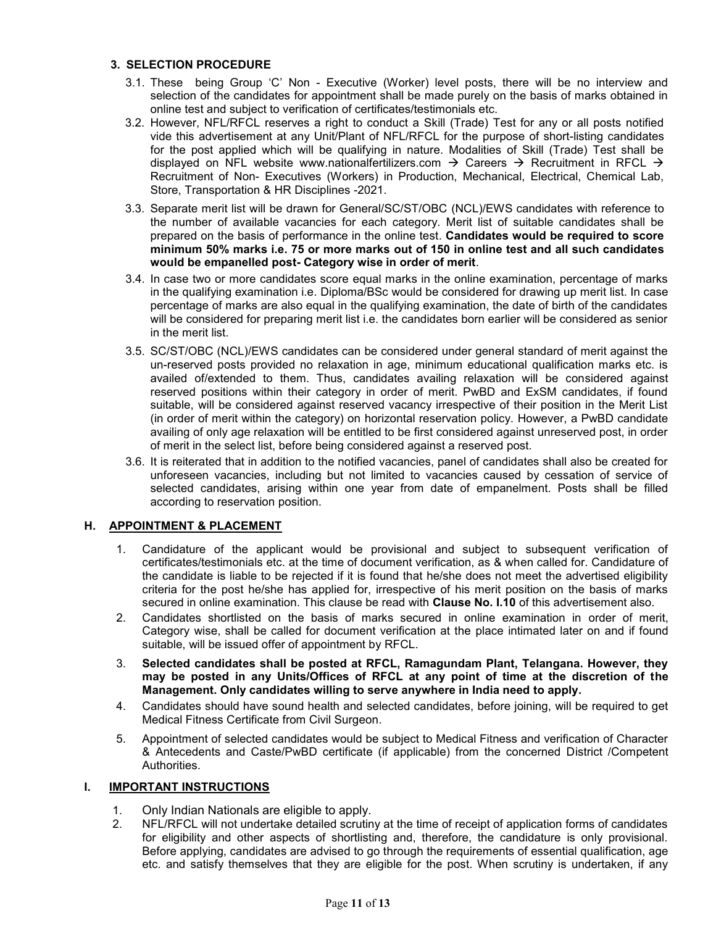### **3. SELECTION PROCEDURE**

- 3.1. These being Group "C" Non Executive (Worker) level posts, there will be no interview and selection of the candidates for appointment shall be made purely on the basis of marks obtained in online test and subject to verification of certificates/testimonials etc.
- 3.2. However, NFL/RFCL reserves a right to conduct a Skill (Trade) Test for any or all posts notified vide this advertisement at any Unit/Plant of NFL/RFCL for the purpose of short-listing candidates for the post applied which will be qualifying in nature. Modalities of Skill (Trade) Test shall be displayed on NFL website www.nationalfertilizers.com  $\rightarrow$  Careers  $\rightarrow$  Recruitment in RFCL  $\rightarrow$ Recruitment of Non- Executives (Workers) in Production, Mechanical, Electrical, Chemical Lab, Store, Transportation & HR Disciplines -2021.
- 3.3. Separate merit list will be drawn for General/SC/ST/OBC (NCL)/EWS candidates with reference to the number of available vacancies for each category. Merit list of suitable candidates shall be prepared on the basis of performance in the online test. **Candidates would be required to score minimum 50% marks i.e. 75 or more marks out of 150 in online test and all such candidates would be empanelled post- Category wise in order of merit**.
- 3.4. In case two or more candidates score equal marks in the online examination, percentage of marks in the qualifying examination i.e. Diploma/BSc would be considered for drawing up merit list. In case percentage of marks are also equal in the qualifying examination, the date of birth of the candidates will be considered for preparing merit list i.e. the candidates born earlier will be considered as senior in the merit list.
- 3.5. SC/ST/OBC (NCL)/EWS candidates can be considered under general standard of merit against the un-reserved posts provided no relaxation in age, minimum educational qualification marks etc. is availed of/extended to them. Thus, candidates availing relaxation will be considered against reserved positions within their category in order of merit. PwBD and ExSM candidates, if found suitable, will be considered against reserved vacancy irrespective of their position in the Merit List (in order of merit within the category) on horizontal reservation policy. However, a PwBD candidate availing of only age relaxation will be entitled to be first considered against unreserved post, in order of merit in the select list, before being considered against a reserved post.
- 3.6. It is reiterated that in addition to the notified vacancies, panel of candidates shall also be created for unforeseen vacancies, including but not limited to vacancies caused by cessation of service of selected candidates, arising within one year from date of empanelment. Posts shall be filled according to reservation position.

### **H. APPOINTMENT & PLACEMENT**

- 1. Candidature of the applicant would be provisional and subject to subsequent verification of certificates/testimonials etc. at the time of document verification, as & when called for. Candidature of the candidate is liable to be rejected if it is found that he/she does not meet the advertised eligibility criteria for the post he/she has applied for, irrespective of his merit position on the basis of marks secured in online examination. This clause be read with **Clause No. I.10** of this advertisement also.
- 2. Candidates shortlisted on the basis of marks secured in online examination in order of merit, Category wise, shall be called for document verification at the place intimated later on and if found suitable, will be issued offer of appointment by RFCL.
- 3. **Selected candidates shall be posted at RFCL, Ramagundam Plant, Telangana. However, they may be posted in any Units/Offices of RFCL at any point of time at the discretion of the Management. Only candidates willing to serve anywhere in India need to apply.**
- 4. Candidates should have sound health and selected candidates, before joining, will be required to get Medical Fitness Certificate from Civil Surgeon.
- 5. Appointment of selected candidates would be subject to Medical Fitness and verification of Character & Antecedents and Caste/PwBD certificate (if applicable) from the concerned District /Competent Authorities.

### **I. IMPORTANT INSTRUCTIONS**

- 1. Only Indian Nationals are eligible to apply.
- 2. NFL/RFCL will not undertake detailed scrutiny at the time of receipt of application forms of candidates for eligibility and other aspects of shortlisting and, therefore, the candidature is only provisional. Before applying, candidates are advised to go through the requirements of essential qualification, age etc. and satisfy themselves that they are eligible for the post. When scrutiny is undertaken, if any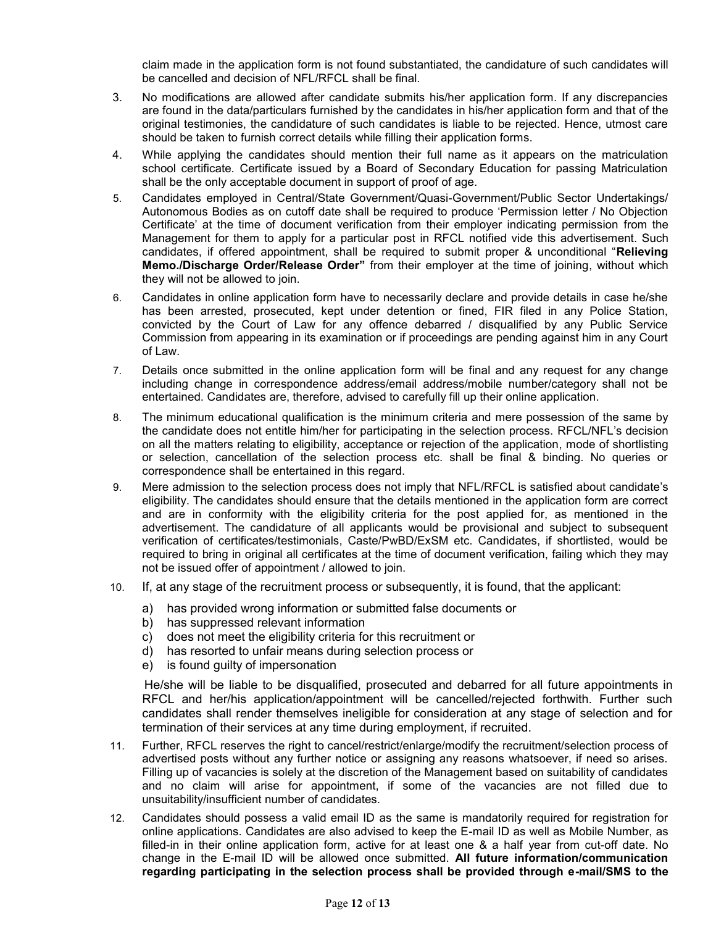claim made in the application form is not found substantiated, the candidature of such candidates will be cancelled and decision of NFL/RFCL shall be final.

- 3. No modifications are allowed after candidate submits his/her application form. If any discrepancies are found in the data/particulars furnished by the candidates in his/her application form and that of the original testimonies, the candidature of such candidates is liable to be rejected. Hence, utmost care should be taken to furnish correct details while filling their application forms.
- 4. While applying the candidates should mention their full name as it appears on the matriculation school certificate. Certificate issued by a Board of Secondary Education for passing Matriculation shall be the only acceptable document in support of proof of age.
- 5. Candidates employed in Central/State Government/Quasi-Government/Public Sector Undertakings/ Autonomous Bodies as on cutoff date shall be required to produce "Permission letter / No Objection Certificate" at the time of document verification from their employer indicating permission from the Management for them to apply for a particular post in RFCL notified vide this advertisement. Such candidates, if offered appointment, shall be required to submit proper & unconditional "**Relieving Memo./Discharge Order/Release Order"** from their employer at the time of joining, without which they will not be allowed to join.
- 6. Candidates in online application form have to necessarily declare and provide details in case he/she has been arrested, prosecuted, kept under detention or fined, FIR filed in any Police Station, convicted by the Court of Law for any offence debarred / disqualified by any Public Service Commission from appearing in its examination or if proceedings are pending against him in any Court of Law.
- 7. Details once submitted in the online application form will be final and any request for any change including change in correspondence address/email address/mobile number/category shall not be entertained. Candidates are, therefore, advised to carefully fill up their online application.
- 8. The minimum educational qualification is the minimum criteria and mere possession of the same by the candidate does not entitle him/her for participating in the selection process. RFCL/NFL"s decision on all the matters relating to eligibility, acceptance or rejection of the application, mode of shortlisting or selection, cancellation of the selection process etc. shall be final & binding. No queries or correspondence shall be entertained in this regard.
- 9. Mere admission to the selection process does not imply that NFL/RFCL is satisfied about candidate"s eligibility. The candidates should ensure that the details mentioned in the application form are correct and are in conformity with the eligibility criteria for the post applied for, as mentioned in the advertisement. The candidature of all applicants would be provisional and subject to subsequent verification of certificates/testimonials, Caste/PwBD/ExSM etc. Candidates, if shortlisted, would be required to bring in original all certificates at the time of document verification, failing which they may not be issued offer of appointment / allowed to join.
- 10. If, at any stage of the recruitment process or subsequently, it is found, that the applicant:
	- a) has provided wrong information or submitted false documents or
	- b) has suppressed relevant information
	- c) does not meet the eligibility criteria for this recruitment or
	- d) has resorted to unfair means during selection process or
	- e) is found guilty of impersonation

 He/she will be liable to be disqualified, prosecuted and debarred for all future appointments in RFCL and her/his application/appointment will be cancelled/rejected forthwith. Further such candidates shall render themselves ineligible for consideration at any stage of selection and for termination of their services at any time during employment, if recruited.

- 11. Further, RFCL reserves the right to cancel/restrict/enlarge/modify the recruitment/selection process of advertised posts without any further notice or assigning any reasons whatsoever, if need so arises. Filling up of vacancies is solely at the discretion of the Management based on suitability of candidates and no claim will arise for appointment, if some of the vacancies are not filled due to unsuitability/insufficient number of candidates.
- 12. Candidates should possess a valid email ID as the same is mandatorily required for registration for online applications. Candidates are also advised to keep the E-mail ID as well as Mobile Number, as filled-in in their online application form, active for at least one & a half year from cut-off date. No change in the E-mail ID will be allowed once submitted. **All future information/communication regarding participating in the selection process shall be provided through e-mail/SMS to the**